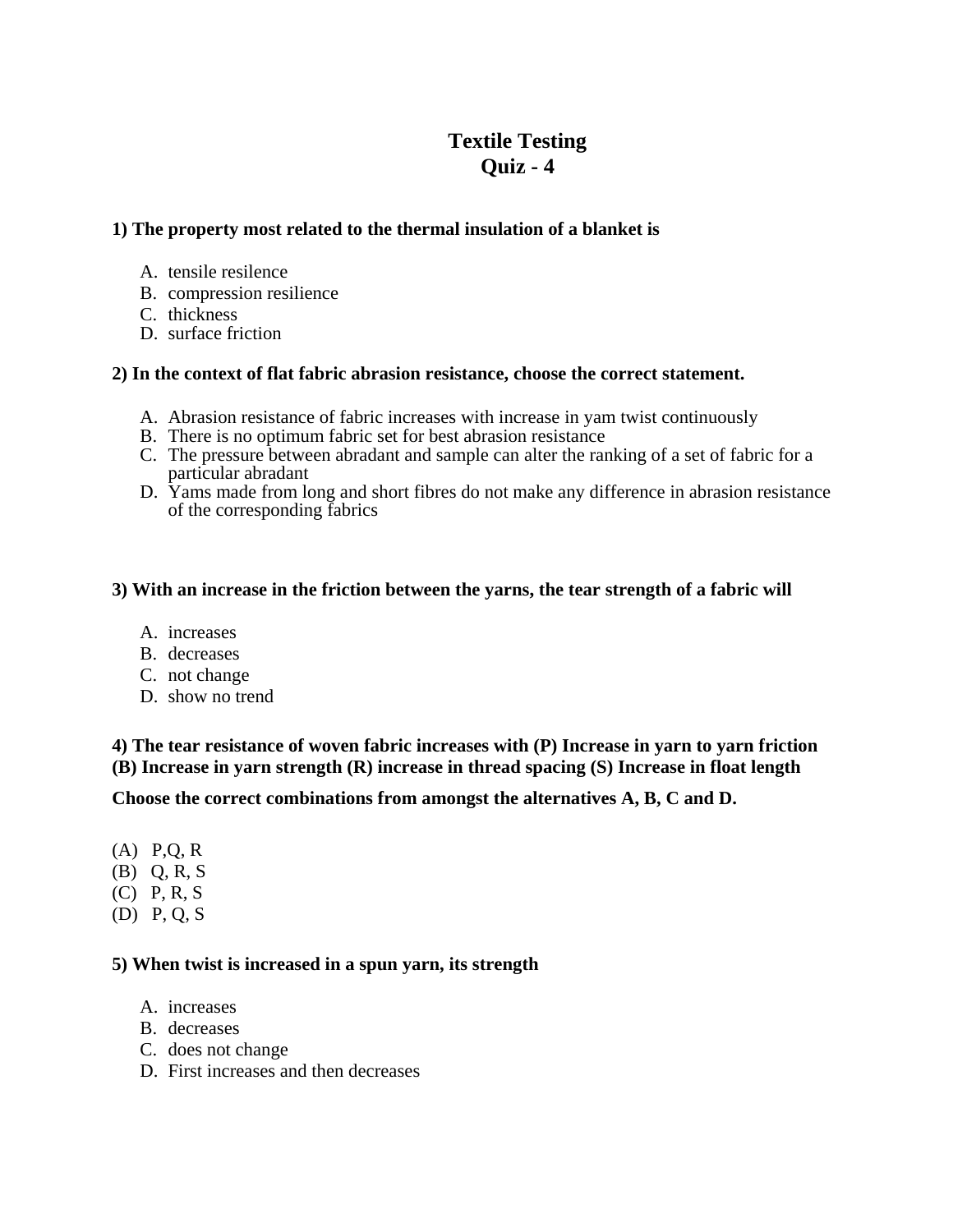# **Textile Testing Quiz - 4**

# **1) The property most related to the thermal insulation of a blanket is**

- A. tensile resilence
- B. compression resilience
- C. thickness
- D. surface friction

### **2) In the context of flat fabric abrasion resistance, choose the correct statement.**

- A. Abrasion resistance of fabric increases with increase in yam twist continuously
- B. There is no optimum fabric set for best abrasion resistance
- C. The pressure between abradant and sample can alter the ranking of a set of fabric for a particular abradant
- D. Yams made from long and short fibres do not make any difference in abrasion resistance of the corresponding fabrics

### **3) With an increase in the friction between the yarns, the tear strength of a fabric will**

- A. increases
- B. decreases
- C. not change
- D. show no trend

**4) The tear resistance of woven fabric increases with (P) Increase in yarn to yarn friction (B) Increase in yarn strength (R) increase in thread spacing (S) Increase in float length** 

**Choose the correct combinations from amongst the alternatives A, B, C and D.** 

- (A) P,Q, R
- (B) Q, R, S
- (C) P, R, S
- (D) P, Q, S

#### **5) When twist is increased in a spun yarn, its strength**

- A. increases
- B. decreases
- C. does not change
- D. First increases and then decreases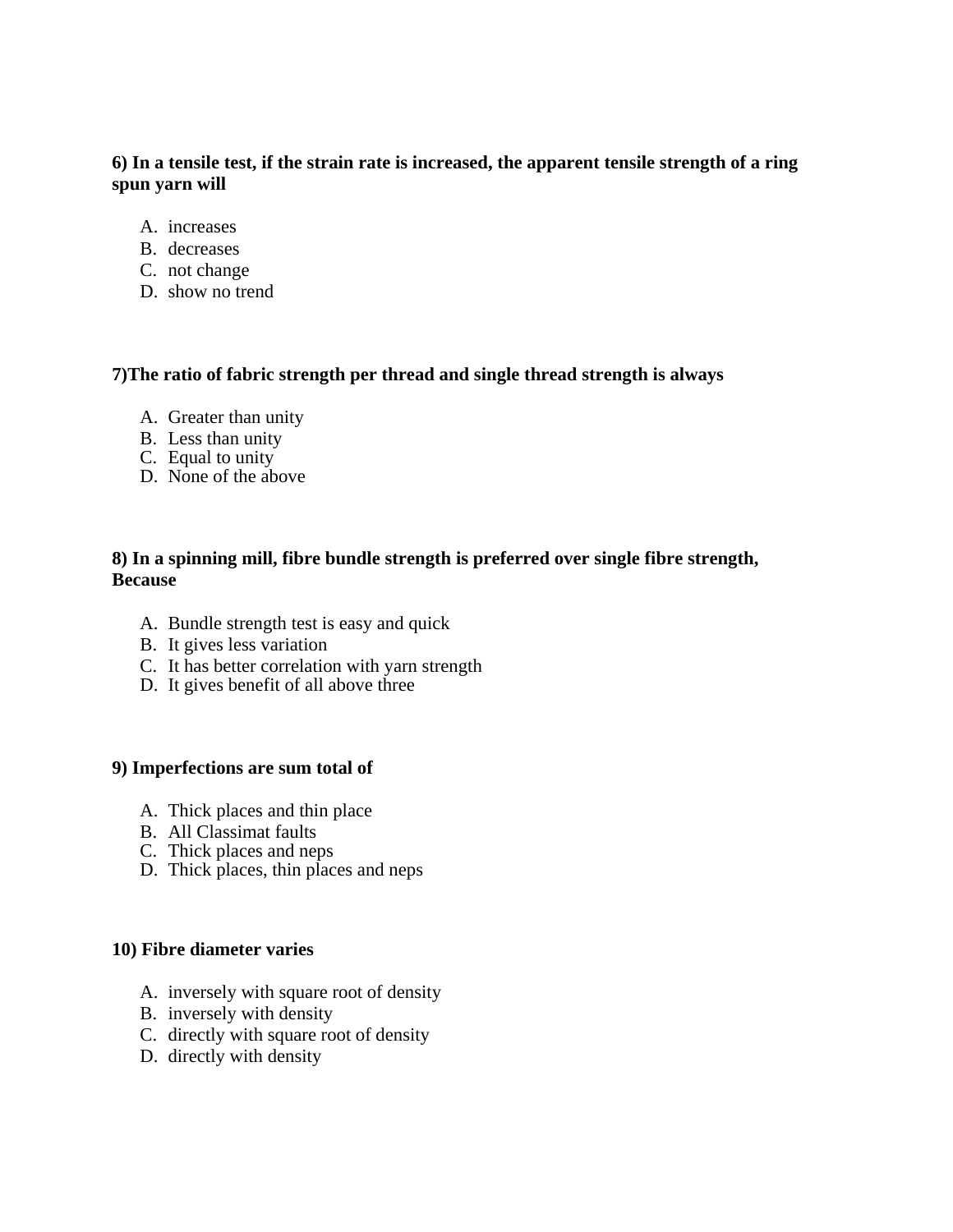## **6) In a tensile test, if the strain rate is increased, the apparent tensile strength of a ring spun yarn will**

- A. increases
- B. decreases
- C. not change
- D. show no trend

# **7)The ratio of fabric strength per thread and single thread strength is always**

- A. Greater than unity
- B. Less than unity
- C. Equal to unity
- D. None of the above

# **8) In a spinning mill, fibre bundle strength is preferred over single fibre strength, Because**

- A. Bundle strength test is easy and quick
- B. It gives less variation
- C. It has better correlation with yarn strength
- D. It gives benefit of all above three

### **9) Imperfections are sum total of**

- A. Thick places and thin place
- B. All Classimat faults
- C. Thick places and neps
- D. Thick places, thin places and neps

### **10) Fibre diameter varies**

- A. inversely with square root of density
- B. inversely with density
- C. directly with square root of density
- D. directly with density